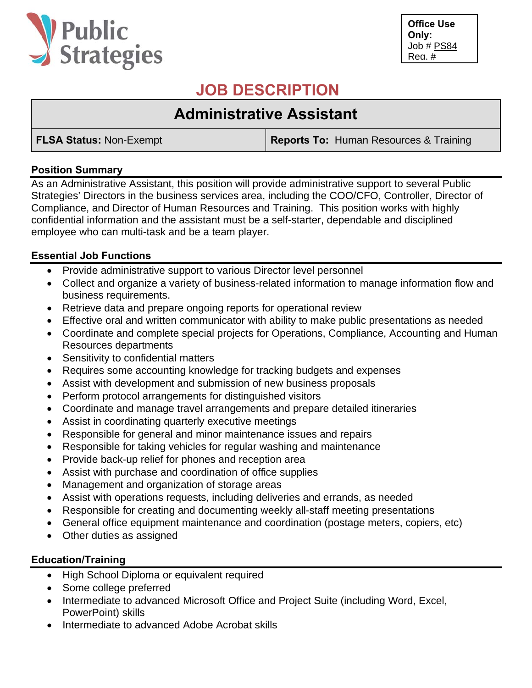

**Office Use Only:**  Job # PS84 Req. #

## **JOB DESCRIPTION**

# **Administrative Assistant**

**FLSA Status:** Non-Exempt **Reports To:** Human Resources & Training

## **Position Summary**

As an Administrative Assistant, this position will provide administrative support to several Public Strategies' Directors in the business services area, including the COO/CFO, Controller, Director of Compliance, and Director of Human Resources and Training. This position works with highly confidential information and the assistant must be a self-starter, dependable and disciplined employee who can multi-task and be a team player.

## **Essential Job Functions**

- Provide administrative support to various Director level personnel
- Collect and organize a variety of business-related information to manage information flow and business requirements.
- Retrieve data and prepare ongoing reports for operational review
- Effective oral and written communicator with ability to make public presentations as needed
- Coordinate and complete special projects for Operations, Compliance, Accounting and Human Resources departments
- Sensitivity to confidential matters
- Requires some accounting knowledge for tracking budgets and expenses
- Assist with development and submission of new business proposals
- Perform protocol arrangements for distinguished visitors
- Coordinate and manage travel arrangements and prepare detailed itineraries
- Assist in coordinating quarterly executive meetings
- Responsible for general and minor maintenance issues and repairs
- Responsible for taking vehicles for regular washing and maintenance
- Provide back-up relief for phones and reception area
- Assist with purchase and coordination of office supplies
- Management and organization of storage areas
- Assist with operations requests, including deliveries and errands, as needed
- Responsible for creating and documenting weekly all-staff meeting presentations
- General office equipment maintenance and coordination (postage meters, copiers, etc)
- Other duties as assigned

## **Education/Training**

- High School Diploma or equivalent required
- Some college preferred
- Intermediate to advanced Microsoft Office and Project Suite (including Word, Excel, PowerPoint) skills
- Intermediate to advanced Adobe Acrobat skills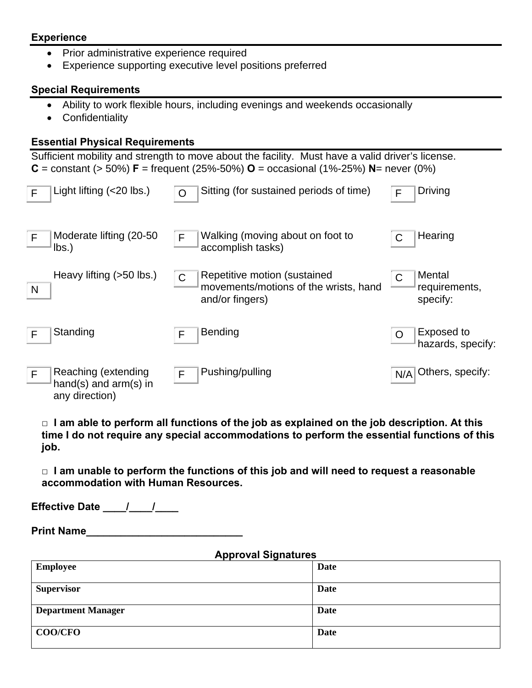#### **Experience**

- Prior administrative experience required
- Experience supporting executive level positions preferred

#### **Special Requirements**

- Ability to work flexible hours, including evenings and weekends occasionally
- Confidentiality

#### **Essential Physical Requirements**

Sufficient mobility and strength to move about the facility. Must have a valid driver's license. **C** = constant ( $>$  50%) **F** = frequent (25%-50%) **O** = occasional (1%-25%) **N**= never (0%)

| F | Light lifting $(20 \text{ lbs.})$                                | ∩            | Sitting (for sustained periods of time)                                                  | F   | Driving                             |
|---|------------------------------------------------------------------|--------------|------------------------------------------------------------------------------------------|-----|-------------------------------------|
| F | Moderate lifting (20-50)<br>$\mathsf{lbs.}$                      | F            | Walking (moving about on foot to<br>accomplish tasks)                                    |     | Hearing                             |
| N | Heavy lifting (>50 lbs.)                                         | $\mathsf{C}$ | Repetitive motion (sustained<br>movements/motions of the wrists, hand<br>and/or fingers) |     | Mental<br>requirements,<br>specify: |
| F | Standing                                                         | F            | <b>Bending</b>                                                                           |     | Exposed to<br>hazards, specify:     |
| F | Reaching (extending<br>hand(s) and $arm(s)$ in<br>any direction) | F            | Pushing/pulling                                                                          | N/A | Others, specify:                    |

**□ I am able to perform all functions of the job as explained on the job description. At this time I do not require any special accommodations to perform the essential functions of this job.** 

**□ I am unable to perform the functions of this job and will need to request a reasonable accommodation with Human Resources.** 

**Effective Date** / /

**Print Name** 

### **Approval Signatures**

| . .<br>--                 |             |
|---------------------------|-------------|
| <b>Employee</b>           | Date        |
| <b>Supervisor</b>         | Date        |
| <b>Department Manager</b> | <b>Date</b> |
| <b>COO/CFO</b>            | Date        |